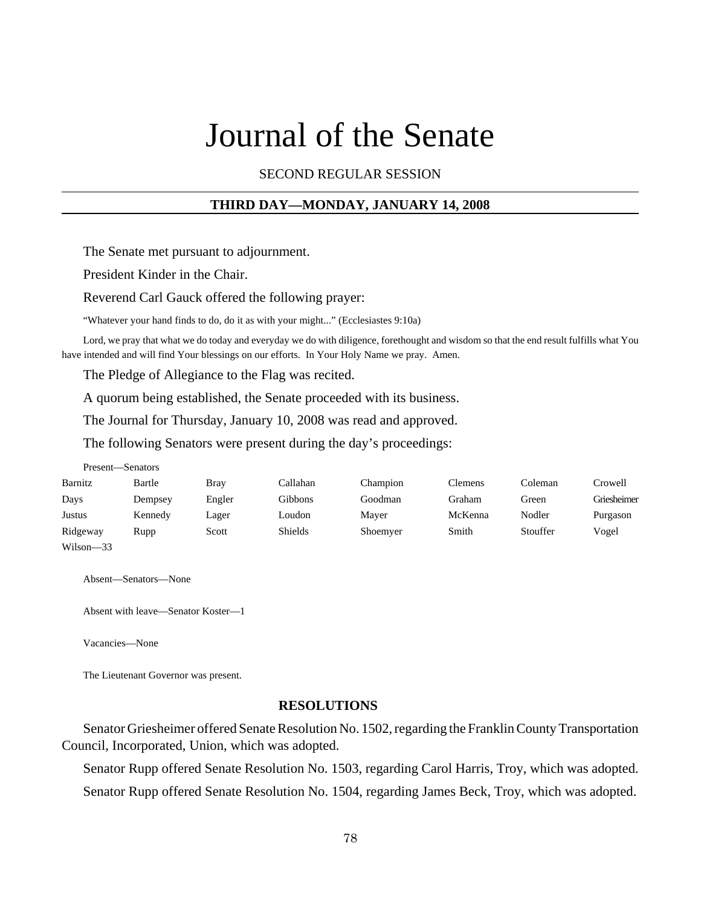# Journal of the Senate

SECOND REGULAR SESSION

# **THIRD DAY—MONDAY, JANUARY 14, 2008**

The Senate met pursuant to adjournment.

President Kinder in the Chair.

Reverend Carl Gauck offered the following prayer:

"Whatever your hand finds to do, do it as with your might..." (Ecclesiastes 9:10a)

Lord, we pray that what we do today and everyday we do with diligence, forethought and wisdom so that the end result fulfills what You have intended and will find Your blessings on our efforts. In Your Holy Name we pray. Amen.

The Pledge of Allegiance to the Flag was recited.

A quorum being established, the Senate proceeded with its business.

The Journal for Thursday, January 10, 2008 was read and approved.

The following Senators were present during the day's proceedings:

| Present—Senators |         |             |                |          |                |          |             |
|------------------|---------|-------------|----------------|----------|----------------|----------|-------------|
| Barnitz          | Bartle  | <b>Bray</b> | Callahan       | Champion | <b>Clemens</b> | Coleman  | Crowell     |
| Days             | Dempsey | Engler      | Gibbons        | Goodman  | Graham         | Green    | Griesheimer |
| Justus           | Kennedy | Lager       | Loudon         | Maver    | McKenna        | Nodler   | Purgason    |
| Ridgeway         | Rupp    | Scott       | <b>Shields</b> | Shoemyer | Smith          | Stouffer | Vogel       |
| Wilson-33        |         |             |                |          |                |          |             |

Absent—Senators—None

Absent with leave—Senator Koster—1

Vacancies—None

The Lieutenant Governor was present.

## **RESOLUTIONS**

Senator Griesheimer offered Senate Resolution No. 1502, regarding the Franklin County Transportation Council, Incorporated, Union, which was adopted.

Senator Rupp offered Senate Resolution No. 1503, regarding Carol Harris, Troy, which was adopted. Senator Rupp offered Senate Resolution No. 1504, regarding James Beck, Troy, which was adopted.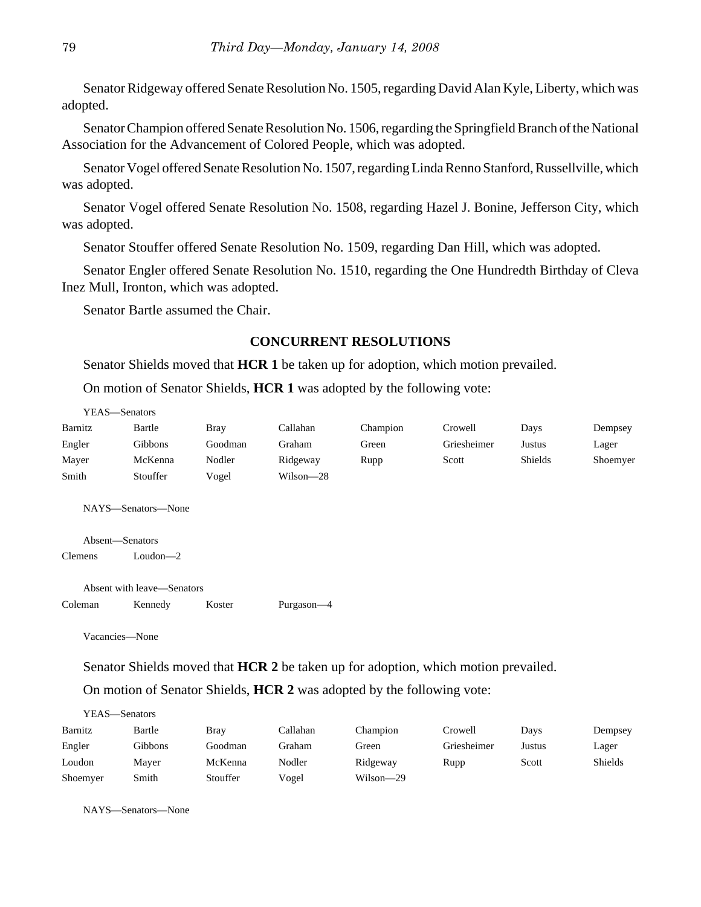Senator Ridgeway offered Senate Resolution No. 1505, regarding David Alan Kyle, Liberty, which was adopted.

Senator Champion offered Senate Resolution No. 1506, regarding the Springfield Branch of the National Association for the Advancement of Colored People, which was adopted.

Senator Vogel offered Senate Resolution No. 1507, regarding Linda Renno Stanford, Russellville, which was adopted.

Senator Vogel offered Senate Resolution No. 1508, regarding Hazel J. Bonine, Jefferson City, which was adopted.

Senator Stouffer offered Senate Resolution No. 1509, regarding Dan Hill, which was adopted.

Senator Engler offered Senate Resolution No. 1510, regarding the One Hundredth Birthday of Cleva Inez Mull, Ironton, which was adopted.

Senator Bartle assumed the Chair.

## **CONCURRENT RESOLUTIONS**

Senator Shields moved that **HCR 1** be taken up for adoption, which motion prevailed.

On motion of Senator Shields, **HCR 1** was adopted by the following vote:

| YEAS-Senators   |                            |             |            |          |             |         |          |
|-----------------|----------------------------|-------------|------------|----------|-------------|---------|----------|
| Barnitz         | Bartle                     | <b>Bray</b> | Callahan   | Champion | Crowell     | Days    | Dempsey  |
| Engler          | Gibbons                    | Goodman     | Graham     | Green    | Griesheimer | Justus  | Lager    |
| Mayer           | McKenna                    | Nodler      | Ridgeway   | Rupp     | Scott       | Shields | Shoemyer |
| Smith           | Stouffer                   | Vogel       | Wilson-28  |          |             |         |          |
| Absent-Senators | NAYS—Senators—None         |             |            |          |             |         |          |
| <b>Clemens</b>  | $Loudon - 2$               |             |            |          |             |         |          |
|                 | Absent with leave—Senators |             |            |          |             |         |          |
| Coleman         | Kennedy                    | Koster      | Purgason-4 |          |             |         |          |
| Vacancies—None  |                            |             |            |          |             |         |          |

Senator Shields moved that **HCR 2** be taken up for adoption, which motion prevailed.

On motion of Senator Shields, **HCR 2** was adopted by the following vote:

| YEAS—Senators |         |          |          |           |             |        |         |
|---------------|---------|----------|----------|-----------|-------------|--------|---------|
| Barnitz       | Bartle  | Bray     | Callahan | Champion  | Crowell     | Days   | Dempsey |
| Engler        | Gibbons | Goodman  | Graham   | Green     | Griesheimer | Justus | Lager   |
| Loudon        | Maver   | McKenna  | Nodler   | Ridgeway  | Rupp        | Scott  | Shields |
| Shoemyer      | Smith   | Stouffer | Vogel    | Wilson-29 |             |        |         |

NAYS—Senators—None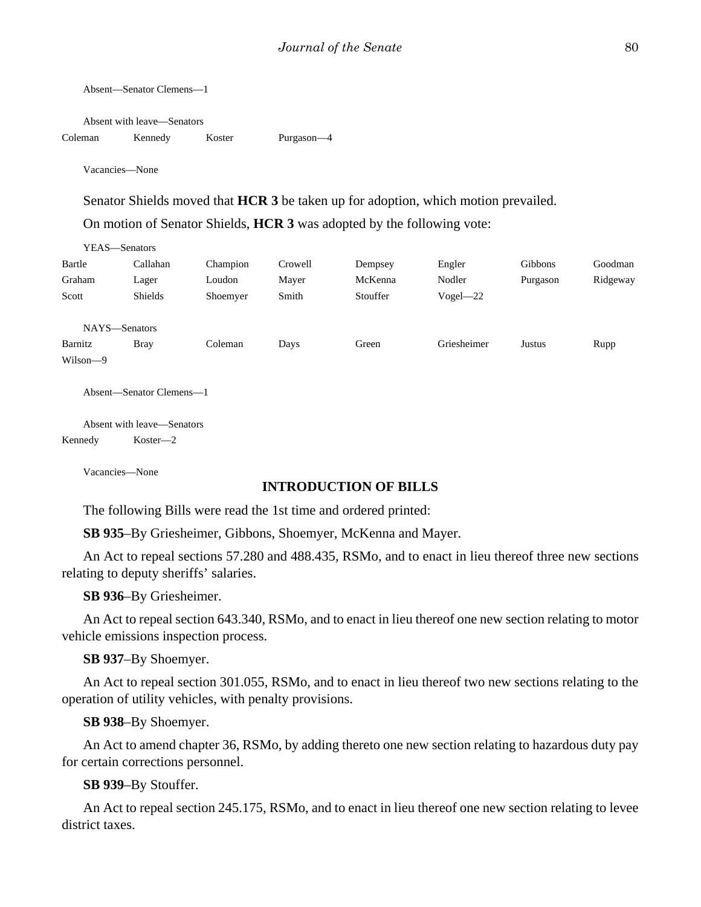Absent—Senator Clemens—1 Absent with leave—Senators Coleman Kennedy Koster Purgason—4 Vacancies—None

Senator Shields moved that **HCR 3** be taken up for adoption, which motion prevailed.

On motion of Senator Shields, **HCR 3** was adopted by the following vote:

|          | Y EAS—Senators           |          |         |          |              |          |          |
|----------|--------------------------|----------|---------|----------|--------------|----------|----------|
| Bartle   | Callahan                 | Champion | Crowell | Dempsey  | Engler       | Gibbons  | Goodman  |
| Graham   | Lager                    | Loudon   | Mayer   | McKenna  | Nodler       | Purgason | Ridgeway |
| Scott    | <b>Shields</b>           | Shoemyer | Smith   | Stouffer | $Vogel - 22$ |          |          |
|          |                          |          |         |          |              |          |          |
|          | NAYS-Senators            |          |         |          |              |          |          |
| Barnitz  | <b>Bray</b>              | Coleman  | Days    | Green    | Griesheimer  | Justus   | Rupp     |
| Wilson-9 |                          |          |         |          |              |          |          |
|          |                          |          |         |          |              |          |          |
|          | Absent—Senator Clemens—1 |          |         |          |              |          |          |

Absent with leave—Senators Kennedy Koster—2

Vacancies—None

 $\overline{y}$ 

#### **INTRODUCTION OF BILLS**

The following Bills were read the 1st time and ordered printed:

**SB 935**–By Griesheimer, Gibbons, Shoemyer, McKenna and Mayer.

An Act to repeal sections 57.280 and 488.435, RSMo, and to enact in lieu thereof three new sections relating to deputy sheriffs' salaries.

**SB 936**–By Griesheimer.

An Act to repeal section 643.340, RSMo, and to enact in lieu thereof one new section relating to motor vehicle emissions inspection process.

**SB 937**–By Shoemyer.

An Act to repeal section 301.055, RSMo, and to enact in lieu thereof two new sections relating to the operation of utility vehicles, with penalty provisions.

**SB 938**–By Shoemyer.

An Act to amend chapter 36, RSMo, by adding thereto one new section relating to hazardous duty pay for certain corrections personnel.

**SB 939**–By Stouffer.

An Act to repeal section 245.175, RSMo, and to enact in lieu thereof one new section relating to levee district taxes.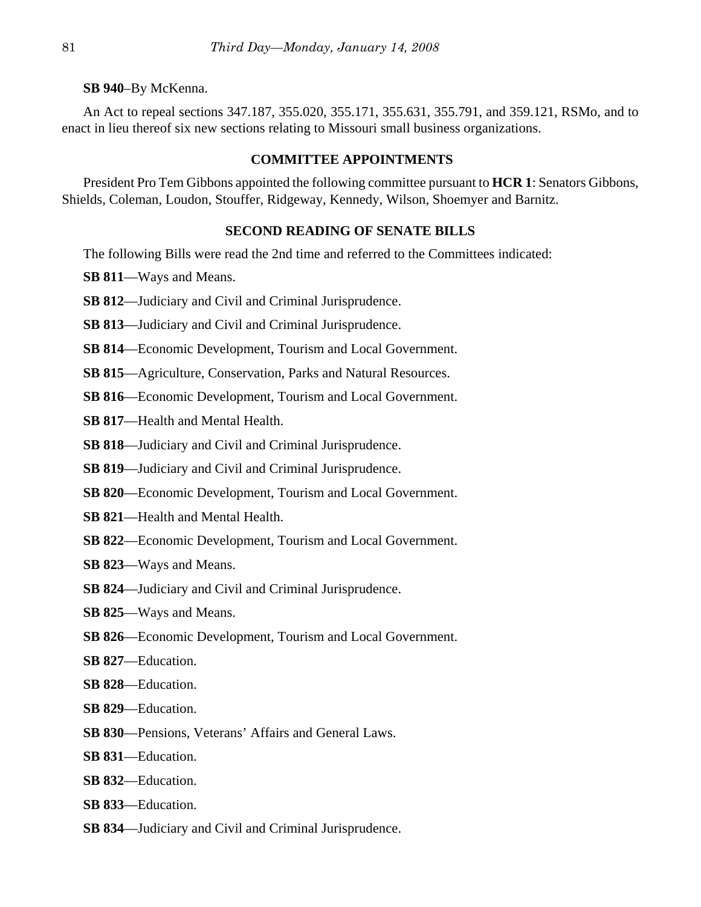**SB 940**–By McKenna.

An Act to repeal sections 347.187, 355.020, 355.171, 355.631, 355.791, and 359.121, RSMo, and to enact in lieu thereof six new sections relating to Missouri small business organizations.

#### **COMMITTEE APPOINTMENTS**

President Pro Tem Gibbons appointed the following committee pursuant to **HCR 1**: Senators Gibbons, Shields, Coleman, Loudon, Stouffer, Ridgeway, Kennedy, Wilson, Shoemyer and Barnitz.

#### **SECOND READING OF SENATE BILLS**

The following Bills were read the 2nd time and referred to the Committees indicated:

**SB 811**—Ways and Means.

- **SB 812**—Judiciary and Civil and Criminal Jurisprudence.
- **SB 813**—Judiciary and Civil and Criminal Jurisprudence.
- **SB 814**—Economic Development, Tourism and Local Government.
- **SB 815**—Agriculture, Conservation, Parks and Natural Resources.
- **SB 816**—Economic Development, Tourism and Local Government.
- **SB 817**—Health and Mental Health.
- **SB 818**—Judiciary and Civil and Criminal Jurisprudence.
- **SB 819**—Judiciary and Civil and Criminal Jurisprudence.
- **SB 820**—Economic Development, Tourism and Local Government.
- **SB 821**—Health and Mental Health.
- **SB 822**—Economic Development, Tourism and Local Government.
- **SB 823**—Ways and Means.
- **SB 824**—Judiciary and Civil and Criminal Jurisprudence.
- **SB 825**—Ways and Means.
- **SB 826**—Economic Development, Tourism and Local Government.
- **SB 827**—Education.
- **SB 828**—Education.
- **SB 829**—Education.
- **SB 830**—Pensions, Veterans' Affairs and General Laws.
- **SB 831**—Education.
- **SB 832**—Education.
- **SB 833**—Education.
- **SB 834**—Judiciary and Civil and Criminal Jurisprudence.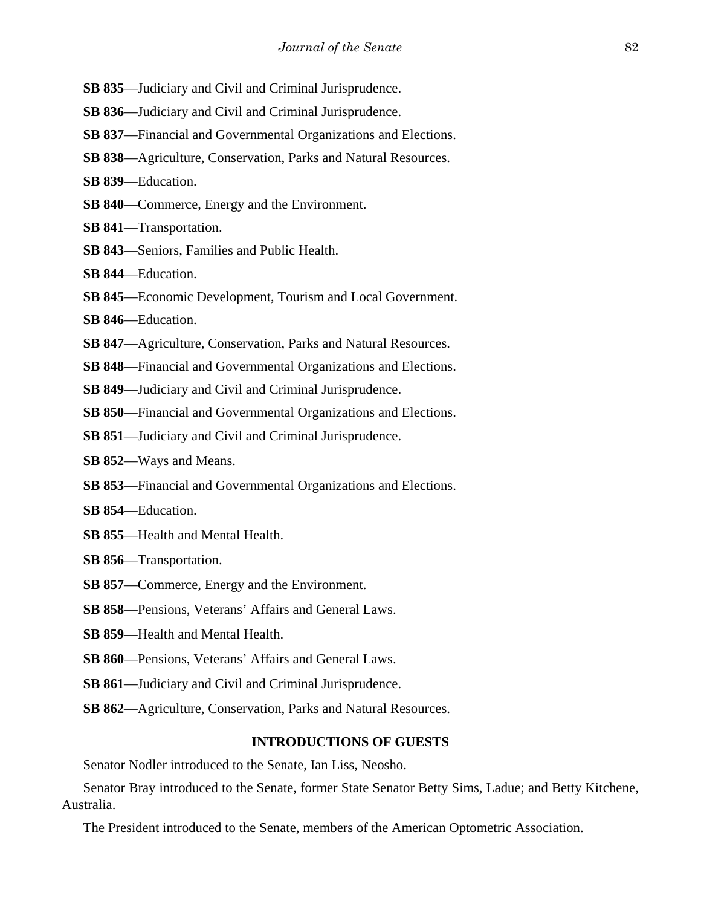- **SB 835**—Judiciary and Civil and Criminal Jurisprudence.
- **SB 836**—Judiciary and Civil and Criminal Jurisprudence.
- **SB 837**—Financial and Governmental Organizations and Elections.
- **SB 838**—Agriculture, Conservation, Parks and Natural Resources.
- **SB 839**—Education.
- **SB 840**—Commerce, Energy and the Environment.
- **SB 841**—Transportation.
- **SB 843**—Seniors, Families and Public Health.
- **SB 844**—Education.
- **SB 845**—Economic Development, Tourism and Local Government.
- **SB 846**—Education.
- **SB 847**—Agriculture, Conservation, Parks and Natural Resources.
- **SB 848**—Financial and Governmental Organizations and Elections.
- **SB 849**—Judiciary and Civil and Criminal Jurisprudence.
- **SB 850**—Financial and Governmental Organizations and Elections.
- **SB 851**—Judiciary and Civil and Criminal Jurisprudence.
- **SB 852**—Ways and Means.
- **SB 853**—Financial and Governmental Organizations and Elections.
- **SB 854**—Education.
- **SB 855**—Health and Mental Health.
- **SB 856**—Transportation.
- **SB 857**—Commerce, Energy and the Environment.
- **SB 858**—Pensions, Veterans' Affairs and General Laws.
- **SB 859**—Health and Mental Health.
- **SB 860**—Pensions, Veterans' Affairs and General Laws.
- **SB 861**—Judiciary and Civil and Criminal Jurisprudence.
- **SB 862**—Agriculture, Conservation, Parks and Natural Resources.

#### **INTRODUCTIONS OF GUESTS**

Senator Nodler introduced to the Senate, Ian Liss, Neosho.

Senator Bray introduced to the Senate, former State Senator Betty Sims, Ladue; and Betty Kitchene, Australia.

The President introduced to the Senate, members of the American Optometric Association.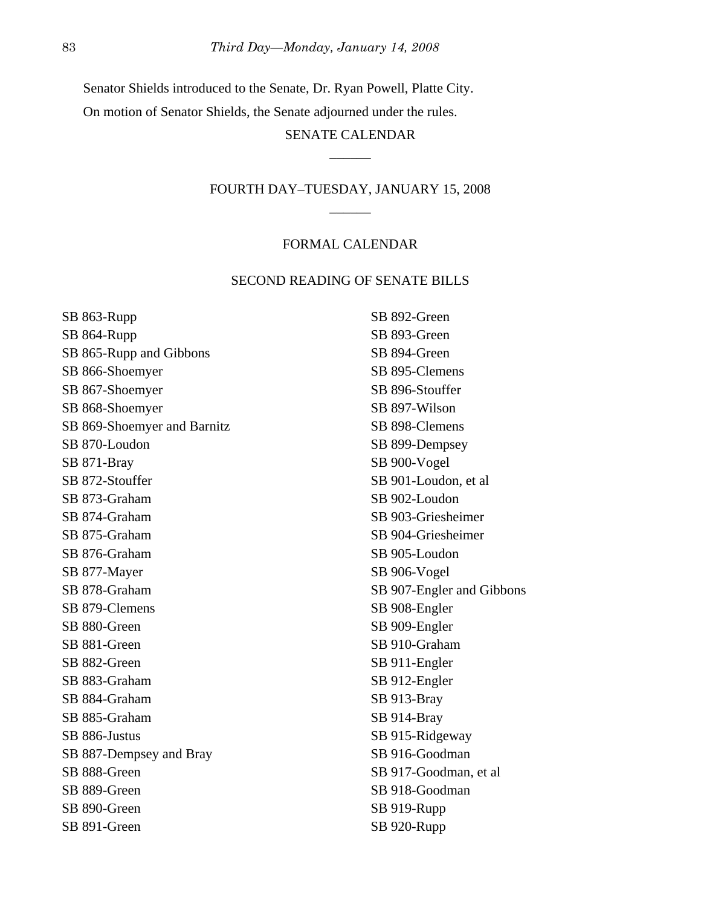Senator Shields introduced to the Senate, Dr. Ryan Powell, Platte City.

On motion of Senator Shields, the Senate adjourned under the rules.

# SENATE CALENDAR \_\_\_\_\_\_

# FOURTH DAY–TUESDAY, JANUARY 15, 2008 \_\_\_\_\_\_

### FORMAL CALENDAR

#### SECOND READING OF SENATE BILLS

SB 863-Rupp SB 864-Rupp SB 865-Rupp and Gibbons SB 866-Shoemyer SB 867-Shoemyer SB 868-Shoemyer SB 869-Shoemyer and Barnitz SB 870-Loudon SB 871-Bray SB 872-Stouffer SB 873-Graham SB 874-Graham SB 875-Graham SB 876-Graham SB 877-Mayer SB 878-Graham SB 879-Clemens SB 880-Green SB 881-Green SB 882-Green SB 883-Graham SB 884-Graham SB 885-Graham SB 886-Justus SB 887-Dempsey and Bray SB 888-Green SB 889-Green SB 890-Green SB 891-Green

SB 892-Green SB 893-Green SB 894-Green SB 895-Clemens SB 896-Stouffer SB 897-Wilson SB 898-Clemens SB 899-Dempsey SB 900-Vogel SB 901-Loudon, et al SB 902-Loudon SB 903-Griesheimer SB 904-Griesheimer SB 905-Loudon SB 906-Vogel SB 907-Engler and Gibbons SB 908-Engler SB 909-Engler SB 910-Graham SB 911-Engler SB 912-Engler SB 913-Bray SB 914-Bray SB 915-Ridgeway SB 916-Goodman SB 917-Goodman, et al SB 918-Goodman SB 919-Rupp SB 920-Rupp